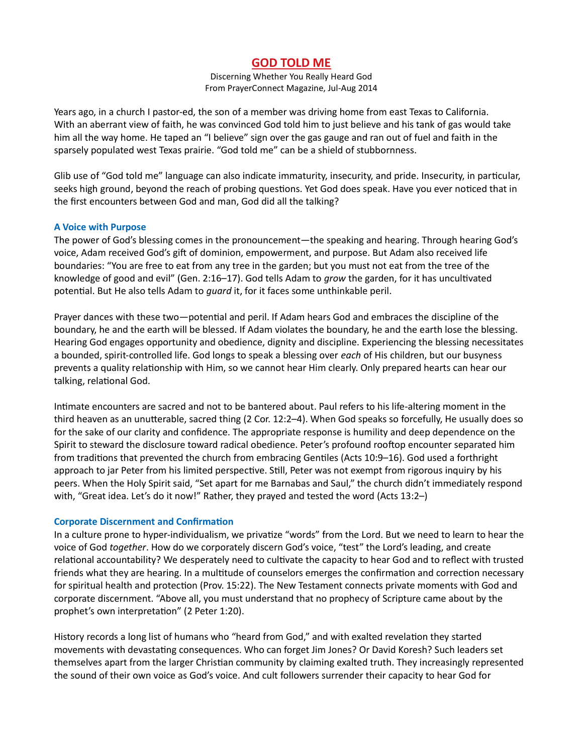# GOD TOLD ME

Discerning Whether You Really Heard God From PrayerConnect Magazine, Jul-Aug 2014

Years ago, in a church I pastor-ed, the son of a member was driving home from east Texas to California. With an aberrant view of faith, he was convinced God told him to just believe and his tank of gas would take him all the way home. He taped an "I believe" sign over the gas gauge and ran out of fuel and faith in the sparsely populated west Texas prairie. "God told me" can be a shield of stubbornness.

Glib use of "God told me" language can also indicate immaturity, insecurity, and pride. Insecurity, in particular, seeks high ground, beyond the reach of probing questions. Yet God does speak. Have you ever noticed that in the first encounters between God and man, God did all the talking?

#### A Voice with Purpose

The power of God's blessing comes in the pronouncement—the speaking and hearing. Through hearing God's voice, Adam received God's gift of dominion, empowerment, and purpose. But Adam also received life boundaries: "You are free to eat from any tree in the garden; but you must not eat from the tree of the knowledge of good and evil" (Gen. 2:16–17). God tells Adam to grow the garden, for it has uncultivated potential. But He also tells Adam to *quard* it, for it faces some unthinkable peril.

Prayer dances with these two—potential and peril. If Adam hears God and embraces the discipline of the boundary, he and the earth will be blessed. If Adam violates the boundary, he and the earth lose the blessing. Hearing God engages opportunity and obedience, dignity and discipline. Experiencing the blessing necessitates a bounded, spirit-controlled life. God longs to speak a blessing over each of His children, but our busyness prevents a quality relationship with Him, so we cannot hear Him clearly. Only prepared hearts can hear our talking, relational God.

Intimate encounters are sacred and not to be bantered about. Paul refers to his life-altering moment in the third heaven as an unutterable, sacred thing (2 Cor. 12:2–4). When God speaks so forcefully, He usually does so for the sake of our clarity and confidence. The appropriate response is humility and deep dependence on the Spirit to steward the disclosure toward radical obedience. Peter's profound rooftop encounter separated him from traditions that prevented the church from embracing Gentiles (Acts 10:9–16). God used a forthright approach to jar Peter from his limited perspective. Still, Peter was not exempt from rigorous inquiry by his peers. When the Holy Spirit said, "Set apart for me Barnabas and Saul," the church didn't immediately respond with, "Great idea. Let's do it now!" Rather, they prayed and tested the word (Acts 13:2-)

# **Corporate Discernment and Confirmation**

In a culture prone to hyper-individualism, we privatize "words" from the Lord. But we need to learn to hear the voice of God together. How do we corporately discern God's voice, "test" the Lord's leading, and create relational accountability? We desperately need to cultivate the capacity to hear God and to reflect with trusted friends what they are hearing. In a multitude of counselors emerges the confirmation and correction necessary for spiritual health and protection (Prov. 15:22). The New Testament connects private moments with God and corporate discernment. "Above all, you must understand that no prophecy of Scripture came about by the prophet's own interpretation" (2 Peter 1:20).

History records a long list of humans who "heard from God," and with exalted revelation they started movements with devastating consequences. Who can forget Jim Jones? Or David Koresh? Such leaders set themselves apart from the larger Christian community by claiming exalted truth. They increasingly represented the sound of their own voice as God's voice. And cult followers surrender their capacity to hear God for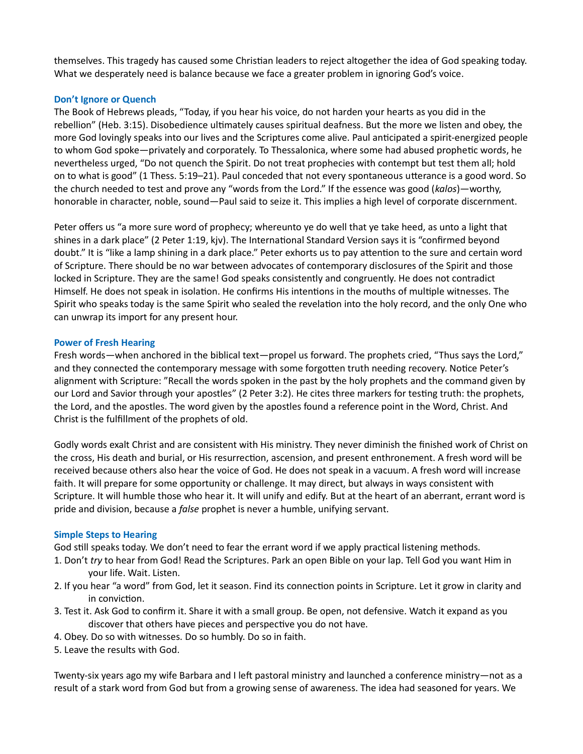themselves. This tragedy has caused some Christian leaders to reject altogether the idea of God speaking today. What we desperately need is balance because we face a greater problem in ignoring God's voice.

# Don't Ignore or Quench

The Book of Hebrews pleads, "Today, if you hear his voice, do not harden your hearts as you did in the rebellion" (Heb. 3:15). Disobedience ultimately causes spiritual deafness. But the more we listen and obey, the more God lovingly speaks into our lives and the Scriptures come alive. Paul anticipated a spirit-energized people to whom God spoke—privately and corporately. To Thessalonica, where some had abused prophetic words, he nevertheless urged, "Do not quench the Spirit. Do not treat prophecies with contempt but test them all; hold on to what is good" (1 Thess. 5:19–21). Paul conceded that not every spontaneous utterance is a good word. So the church needed to test and prove any "words from the Lord." If the essence was good (kalos)—worthy, honorable in character, noble, sound—Paul said to seize it. This implies a high level of corporate discernment.

Peter offers us "a more sure word of prophecy; whereunto ye do well that ye take heed, as unto a light that shines in a dark place" (2 Peter 1:19, kjv). The International Standard Version says it is "confirmed beyond doubt." It is "like a lamp shining in a dark place." Peter exhorts us to pay attention to the sure and certain word of Scripture. There should be no war between advocates of contemporary disclosures of the Spirit and those locked in Scripture. They are the same! God speaks consistently and congruently. He does not contradict Himself. He does not speak in isolation. He confirms His intentions in the mouths of multiple witnesses. The Spirit who speaks today is the same Spirit who sealed the revelation into the holy record, and the only One who can unwrap its import for any present hour.

# Power of Fresh Hearing

Fresh words—when anchored in the biblical text—propel us forward. The prophets cried, "Thus says the Lord," and they connected the contemporary message with some forgotten truth needing recovery. Notice Peter's alignment with Scripture: "Recall the words spoken in the past by the holy prophets and the command given by our Lord and Savior through your apostles" (2 Peter 3:2). He cites three markers for testing truth: the prophets, the Lord, and the apostles. The word given by the apostles found a reference point in the Word, Christ. And Christ is the fulfillment of the prophets of old.

Godly words exalt Christ and are consistent with His ministry. They never diminish the finished work of Christ on the cross, His death and burial, or His resurrection, ascension, and present enthronement. A fresh word will be received because others also hear the voice of God. He does not speak in a vacuum. A fresh word will increase faith. It will prepare for some opportunity or challenge. It may direct, but always in ways consistent with Scripture. It will humble those who hear it. It will unify and edify. But at the heart of an aberrant, errant word is pride and division, because a *false* prophet is never a humble, unifying servant.

# Simple Steps to Hearing

God still speaks today. We don't need to fear the errant word if we apply practical listening methods.

- 1. Don't try to hear from God! Read the Scriptures. Park an open Bible on your lap. Tell God you want Him in your life. Wait. Listen.
- 2. If you hear "a word" from God, let it season. Find its connection points in Scripture. Let it grow in clarity and in conviction.
- 3. Test it. Ask God to confirm it. Share it with a small group. Be open, not defensive. Watch it expand as you discover that others have pieces and perspective you do not have.
- 4. Obey. Do so with witnesses. Do so humbly. Do so in faith.
- 5. Leave the results with God.

Twenty-six years ago my wife Barbara and I left pastoral ministry and launched a conference ministry—not as a result of a stark word from God but from a growing sense of awareness. The idea had seasoned for years. We